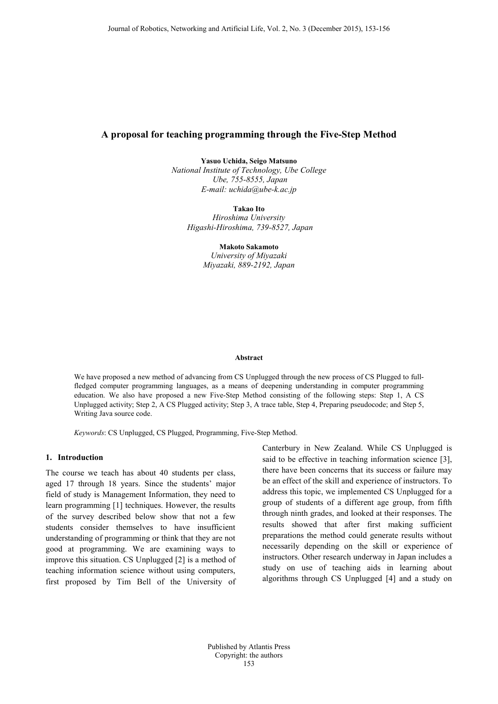# **A proposal for teaching programming through the Five-Step Method**

**Yasuo Uchida, Seigo Matsuno** *National Institute of Technology, Ube College Ube, 755-8555, Japan E-mail: uchida@ube-k.ac.jp*

> **Takao Ito** *Hiroshima University Higashi-Hiroshima, 739-8527, Japan*

> > **Makoto Sakamoto** *University of Miyazaki Miyazaki, 889-2192, Japan*

#### **Abstract**

We have proposed a new method of advancing from CS Unplugged through the new process of CS Plugged to fullfledged computer programming languages, as a means of deepening understanding in computer programming education. We also have proposed a new Five-Step Method consisting of the following steps: Step 1, A CS Unplugged activity; Step 2, A CS Plugged activity; Step 3, A trace table, Step 4, Preparing pseudocode; and Step 5, Writing Java source code.

*Keywords*: CS Unplugged, CS Plugged, Programming, Five-Step Method.

## **1. Introduction**

The course we teach has about 40 students per class, aged 17 through 18 years. Since the students' major field of study is Management Information, they need to learn programming [1] techniques. However, the results of the survey described below show that not a few students consider themselves to have insufficient understanding of programming or think that they are not good at programming. We are examining ways to improve this situation. CS Unplugged [2] is a method of teaching information science without using computers, first proposed by Tim Bell of the University of Canterbury in New Zealand. While CS Unplugged is said to be effective in teaching information science [3], there have been concerns that its success or failure may be an effect of the skill and experience of instructors. To address this topic, we implemented CS Unplugged for a group of students of a different age group, from fifth through ninth grades, and looked at their responses. The results showed that after first making sufficient preparations the method could generate results without necessarily depending on the skill or experience of instructors. Other research underway in Japan includes a study on use of teaching aids in learning about algorithms through CS Unplugged [4] and a study on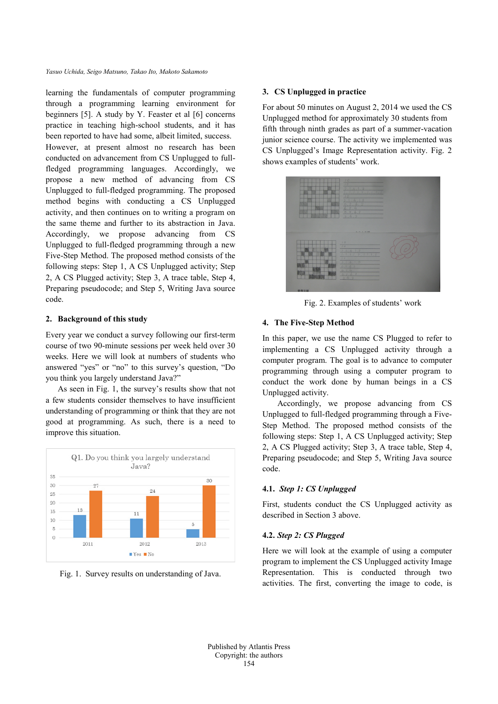learning the fundamentals of computer programming through a programming learning environment for beginners [5]. A study by Y. Feaster et al [6] concerns practice in teaching high-school students, and it has been reported to have had some, albeit limited, success. However, at present almost no research has been conducted on advancement from CS Unplugged to fullfledged programming languages. Accordingly, we propose a new method of advancing from CS Unplugged to full-fledged programming. The proposed method begins with conducting a CS Unplugged activity, and then continues on to writing a program on the same theme and further to its abstraction in Java. Accordingly, we propose advancing from CS Unplugged to full-fledged programming through a new Five-Step Method. The proposed method consists of the following steps: Step 1, A CS Unplugged activity; Step 2, A CS Plugged activity; Step 3, A trace table, Step 4, Preparing pseudocode; and Step 5, Writing Java source code.

## **2. Background of this study**

Every year we conduct a survey following our first-term course of two 90-minute sessions per week held over 30 weeks. Here we will look at numbers of students who answered "yes" or "no" to this survey's question, "Do you think you largely understand Java?"

As seen in Fig. 1, the survey's results show that not a few students consider themselves to have insufficient understanding of programming or think that they are not good at programming. As such, there is a need to improve this situation.



Fig. 1. Survey results on understanding of Java.

## **3. CS Unplugged in practice**

For about 50 minutes on August 2, 2014 we used the CS Unplugged method for approximately 30 students from fifth through ninth grades as part of a summer-vacation junior science course. The activity we implemented was CS Unplugged's Image Representation activity. Fig. 2 shows examples of students' work.



Fig. 2. Examples of students' work

#### **4. The Five-Step Method**

In this paper, we use the name CS Plugged to refer to implementing a CS Unplugged activity through a computer program. The goal is to advance to computer programming through using a computer program to conduct the work done by human beings in a CS Unplugged activity.

Accordingly, we propose advancing from CS Unplugged to full-fledged programming through a Five-Step Method. The proposed method consists of the following steps: Step 1, A CS Unplugged activity; Step 2, A CS Plugged activity; Step 3, A trace table, Step 4, Preparing pseudocode; and Step 5, Writing Java source code.

## **4.1.** *Step 1: CS Unplugged*

First, students conduct the CS Unplugged activity as described in Section 3 above.

## **4.2.** *Step 2: CS Plugged*

Here we will look at the example of using a computer program to implement the CS Unplugged activity Image Representation. This is conducted through two activities. The first, converting the image to code, is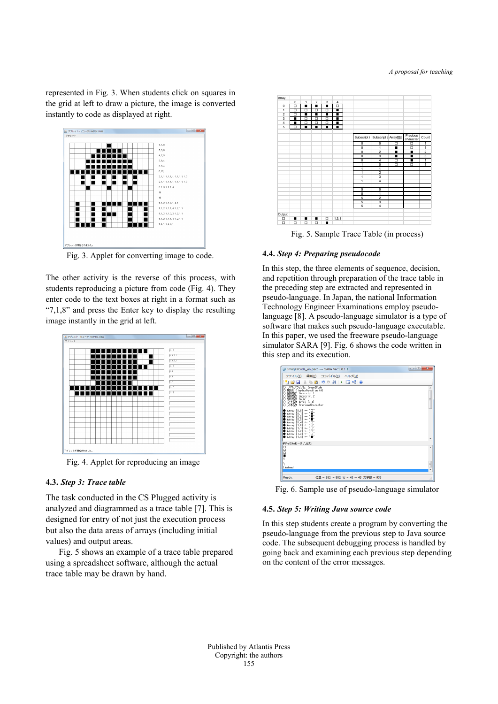#### *A proposal for teaching*

represented in Fig. 3. When students click on squares in the grid at left to draw a picture, the image is converted instantly to code as displayed at right.



Fig. 3. Applet for converting image to code.

The other activity is the reverse of this process, with students reproducing a picture from code (Fig. 4). They enter code to the text boxes at right in a format such as "7,1,8" and press the Enter key to display the resulting image instantly in the grid at left.



Fig. 4. Applet for reproducing an image

# **4.3.** *Step 3: Trace table*

The task conducted in the CS Plugged activity is analyzed and diagrammed as a trace table [7]. This is designed for entry of not just the execution process but also the data areas of arrays (including initial values) and output areas.

Fig. 5 shows an example of a trace table prepared using a spreadsheet software, although the actual trace table may be drawn by hand.



Fig. 5. Sample Trace Table (in process)

## **4.4.** *Step 4: Preparing pseudocode*

In this step, the three elements of sequence, decision, and repetition through preparation of the trace table in the preceding step are extracted and represented in pseudo-language. In Japan, the national Information Technology Engineer Examinations employ pseudolanguage [8]. A pseudo-language simulator is a type of software that makes such pseudo-language executable. In this paper, we used the freeware pseudo-language simulator SARA [9]. Fig. 6 shows the code written in this step and its execution.

| $\overline{\mathbf{x}}$<br>$= 0$<br>/ Image2Code_en.paco --- SARA Ver.1.0.1.1                                                                                                                                                               |    |
|---------------------------------------------------------------------------------------------------------------------------------------------------------------------------------------------------------------------------------------------|----|
| ファイル(E) 編集(E) コンパイル(C) ヘルプ(H)                                                                                                                                                                                                               |    |
| $AB \rightarrow AB$<br>■出った<br>ግራን<br>Y.<br>ы                                                                                                                                                                                               |    |
| ブログラム名: Image2Code<br>000000<br>関数: DisplayFunction (A)<br>整数型: Subscript 1<br>整线型:<br>Subscript 2<br>琴琴型:<br>Count<br>Array [2,4]<br>文字型: PreviousCharacter                                                                                | Ξ  |
| [0.01]<br>″⊓*<br>Array<br>ľ0. I<br>Array<br>ľo, 2<br>Array<br>10.3<br>Array<br>'n.<br>[0.4]<br>Array<br>"ם"<br>I1.0<br>Array<br>п"<br>Array<br>f1.1<br>″⊡″<br>ſ1<br>$\cdot$ <sup>2</sup><br>Array<br>Έ,<br>$-31$<br>Array [1<br>Array [1.4] |    |
| デバッグメッセージ /出力:                                                                                                                                                                                                                              |    |
| Ë<br>п<br>t.                                                                                                                                                                                                                                | ۸  |
| Linefeed                                                                                                                                                                                                                                    | E  |
|                                                                                                                                                                                                                                             | ۰  |
| 位置 = 882 ~ 882 行 = 43 ~ 43 文字数 = 933<br>Ready.                                                                                                                                                                                              | лi |

Fig. 6. Sample use of pseudo-language simulator

## **4.5.** *Step 5: Writing Java source code*

In this step students create a program by converting the pseudo-language from the previous step to Java source code. The subsequent debugging process is handled by going back and examining each previous step depending on the content of the error messages.